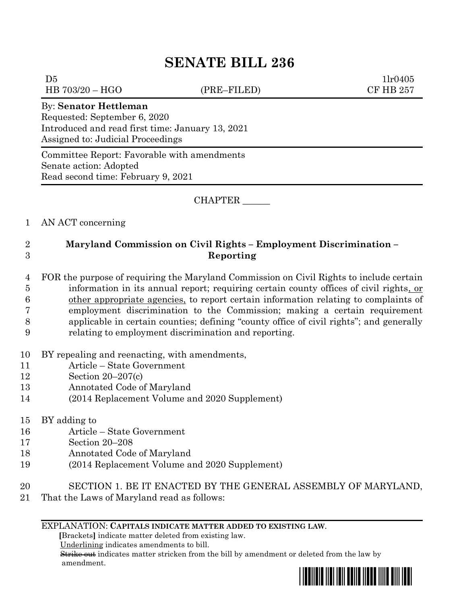# **SENATE BILL 236**

 $D5$   $1lr0405$ HB 703/20 – HGO (PRE–FILED) CF HB 257

#### By: **Senator Hettleman**

Requested: September 6, 2020 Introduced and read first time: January 13, 2021 Assigned to: Judicial Proceedings

Committee Report: Favorable with amendments Senate action: Adopted Read second time: February 9, 2021

### CHAPTER \_\_\_\_\_\_

## 1 AN ACT concerning

# 2 **Maryland Commission on Civil Rights – Employment Discrimination –** 3 **Reporting**

- 4 FOR the purpose of requiring the Maryland Commission on Civil Rights to include certain 5 information in its annual report; requiring certain county offices of civil rights, or 6 other appropriate agencies, to report certain information relating to complaints of 7 employment discrimination to the Commission; making a certain requirement 8 applicable in certain counties; defining "county office of civil rights"; and generally
- 9 relating to employment discrimination and reporting.
- 10 BY repealing and reenacting, with amendments,
- 11 Article State Government
- 12 Section 20–207(c)
- 13 Annotated Code of Maryland
- 14 (2014 Replacement Volume and 2020 Supplement)
- 15 BY adding to
- 16 Article State Government
- 17 Section 20–208
- 18 Annotated Code of Maryland
- 19 (2014 Replacement Volume and 2020 Supplement)
- 20 SECTION 1. BE IT ENACTED BY THE GENERAL ASSEMBLY OF MARYLAND,
- 21 That the Laws of Maryland read as follows:

#### EXPLANATION: **CAPITALS INDICATE MATTER ADDED TO EXISTING LAW**.

 **[**Brackets**]** indicate matter deleted from existing law.

Underlining indicates amendments to bill.

 Strike out indicates matter stricken from the bill by amendment or deleted from the law by amendment.

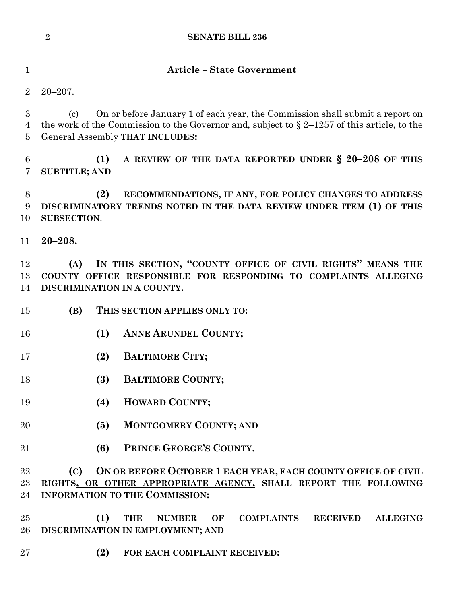|                       | $\overline{2}$<br><b>SENATE BILL 236</b>                                                                                                                                                                                                               |
|-----------------------|--------------------------------------------------------------------------------------------------------------------------------------------------------------------------------------------------------------------------------------------------------|
| $\mathbf{1}$          | <b>Article - State Government</b>                                                                                                                                                                                                                      |
| $\overline{2}$        | $20 - 207$ .                                                                                                                                                                                                                                           |
| 3<br>4<br>5           | On or before January 1 of each year, the Commission shall submit a report on<br>$\left( \mathrm{c}\right)$<br>the work of the Commission to the Governor and, subject to $\S 2-1257$ of this article, to the<br><b>General Assembly THAT INCLUDES:</b> |
| $\boldsymbol{6}$<br>7 | A REVIEW OF THE DATA REPORTED UNDER § 20-208 OF THIS<br>(1)<br><b>SUBTITLE; AND</b>                                                                                                                                                                    |
| 8<br>9<br>10          | (2)<br>RECOMMENDATIONS, IF ANY, FOR POLICY CHANGES TO ADDRESS<br>DISCRIMINATORY TRENDS NOTED IN THE DATA REVIEW UNDER ITEM (1) OF THIS<br><b>SUBSECTION.</b>                                                                                           |
| 11                    | $20 - 208.$                                                                                                                                                                                                                                            |
| 12<br>13<br>14        | IN THIS SECTION, "COUNTY OFFICE OF CIVIL RIGHTS" MEANS THE<br>(A)<br>COUNTY OFFICE RESPONSIBLE FOR RESPONDING TO COMPLAINTS ALLEGING<br>DISCRIMINATION IN A COUNTY.                                                                                    |
| 15                    | (B)<br>THIS SECTION APPLIES ONLY TO:                                                                                                                                                                                                                   |
| 16                    | ANNE ARUNDEL COUNTY;<br>(1)                                                                                                                                                                                                                            |
| 17                    | (2)<br><b>BALTIMORE CITY;</b>                                                                                                                                                                                                                          |
| 18                    | (3)<br><b>BALTIMORE COUNTY;</b>                                                                                                                                                                                                                        |
| 19                    | HOWARD COUNTY;<br>(4)                                                                                                                                                                                                                                  |
| 20                    | <b>MONTGOMERY COUNTY; AND</b><br>(5)                                                                                                                                                                                                                   |
| 21                    | PRINCE GEORGE'S COUNTY.<br>(6)                                                                                                                                                                                                                         |
| 22<br>$23\,$<br>24    | ON OR BEFORE OCTOBER 1 EACH YEAR, EACH COUNTY OFFICE OF CIVIL<br>(C)<br>RIGHTS, OR OTHER APPROPRIATE AGENCY, SHALL REPORT THE FOLLOWING<br><b>INFORMATION TO THE COMMISSION:</b>                                                                       |
| 25<br>26              | (1)<br><b>THE</b><br><b>COMPLAINTS</b><br><b>RECEIVED</b><br><b>ALLEGING</b><br><b>NUMBER</b><br>OF<br>DISCRIMINATION IN EMPLOYMENT; AND                                                                                                               |
| $27\,$                | (2)<br>FOR EACH COMPLAINT RECEIVED:                                                                                                                                                                                                                    |